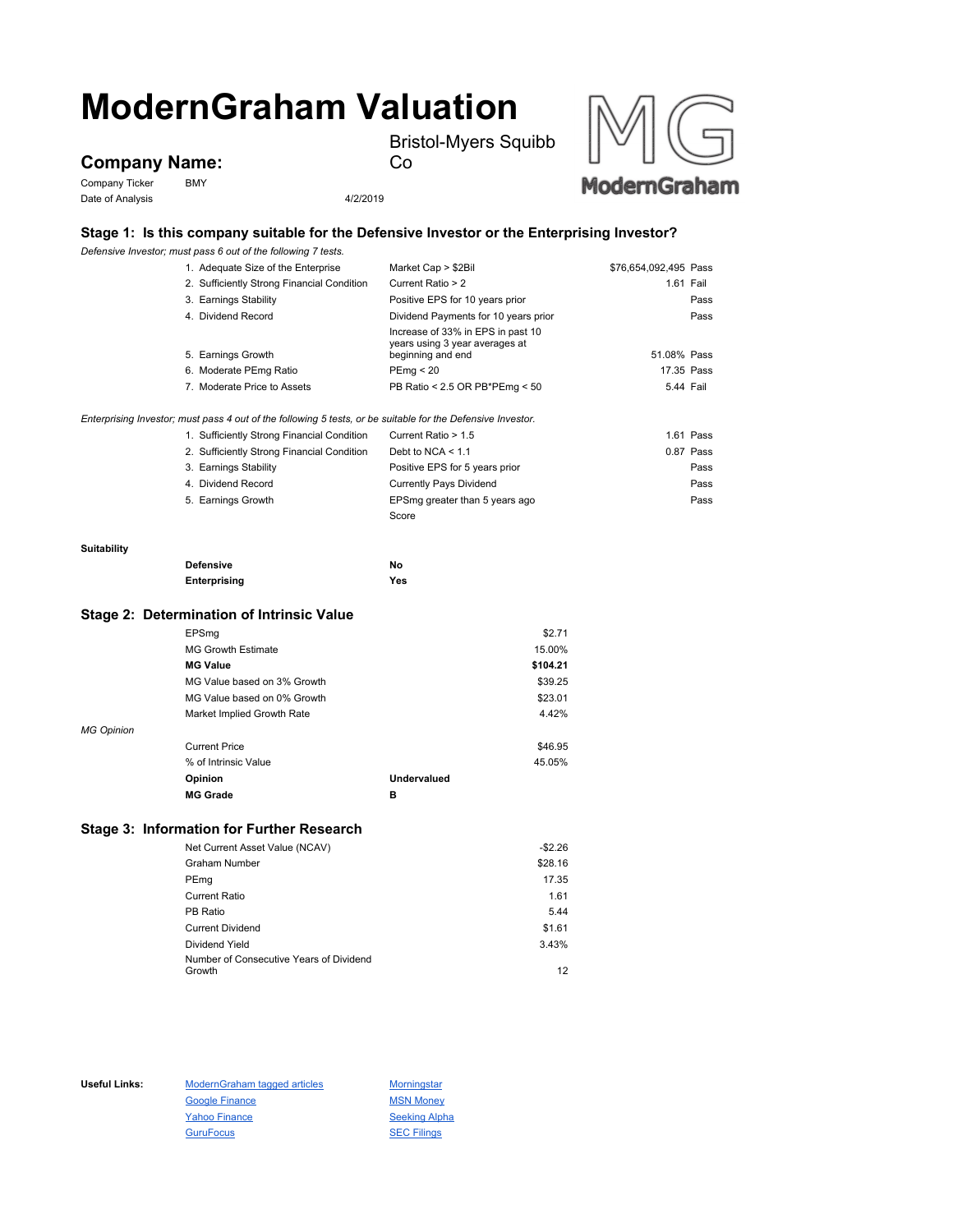# **ModernGraham Valuation**

Bristol-Myers Squibb



Company Ticker BMY Date of Analysis 4/2/2019



### **Stage 1: Is this company suitable for the Defensive Investor or the Enterprising Investor?**

Co

*Defensive Investor; must pass 6 out of the following 7 tests.*

|                    | 1. Adequate Size of the Enterprise                                                                          | Market Cap > \$2Bil                                                                      | \$76,654,092,495 Pass |
|--------------------|-------------------------------------------------------------------------------------------------------------|------------------------------------------------------------------------------------------|-----------------------|
|                    | 2. Sufficiently Strong Financial Condition                                                                  | Current Ratio > 2                                                                        | 1.61 Fail             |
|                    | 3. Earnings Stability                                                                                       | Positive EPS for 10 years prior                                                          | Pass                  |
|                    | 4. Dividend Record                                                                                          | Dividend Payments for 10 years prior                                                     | Pass                  |
|                    | 5. Earnings Growth                                                                                          | Increase of 33% in EPS in past 10<br>years using 3 year averages at<br>beginning and end | 51.08% Pass           |
|                    | 6. Moderate PEmg Ratio                                                                                      | PEmq < 20                                                                                | 17.35 Pass            |
|                    | 7. Moderate Price to Assets                                                                                 | PB Ratio < 2.5 OR PB*PEmg < 50                                                           | 5.44 Fail             |
|                    |                                                                                                             |                                                                                          |                       |
|                    | Enterprising Investor; must pass 4 out of the following 5 tests, or be suitable for the Defensive Investor. |                                                                                          |                       |
|                    | 1. Sufficiently Strong Financial Condition                                                                  | Current Ratio > 1.5                                                                      | $1.61$ Pass           |
|                    | 2. Sufficiently Strong Financial Condition                                                                  | Debt to NCA $<$ 1.1                                                                      | 0.87 Pass             |
|                    | 3. Earnings Stability                                                                                       | Positive EPS for 5 years prior                                                           | Pass                  |
|                    | 4. Dividend Record                                                                                          | <b>Currently Pays Dividend</b>                                                           | Pass                  |
|                    | 5. Earnings Growth                                                                                          | EPSmg greater than 5 years ago                                                           | Pass                  |
|                    |                                                                                                             | Score                                                                                    |                       |
|                    |                                                                                                             |                                                                                          |                       |
| <b>Suitability</b> |                                                                                                             |                                                                                          |                       |
|                    | <b>Defensive</b>                                                                                            | No                                                                                       |                       |
|                    | Enterprising                                                                                                | Yes                                                                                      |                       |
|                    |                                                                                                             |                                                                                          |                       |

# **Stage 2: Determination of Intrinsic Value**

|                   | EPSmg                       |             | \$2.71   |
|-------------------|-----------------------------|-------------|----------|
|                   | <b>MG Growth Estimate</b>   |             | 15.00%   |
|                   | <b>MG Value</b>             |             | \$104.21 |
|                   | MG Value based on 3% Growth |             | \$39.25  |
|                   | MG Value based on 0% Growth |             | \$23.01  |
|                   | Market Implied Growth Rate  |             | 4.42%    |
| <b>MG Opinion</b> |                             |             |          |
|                   | <b>Current Price</b>        |             | \$46.95  |
|                   | % of Intrinsic Value        |             | 45.05%   |
|                   | Opinion                     | Undervalued |          |
|                   | <b>MG Grade</b>             | в           |          |

## **Stage 3: Information for Further Research**

| Net Current Asset Value (NCAV)          | $-$2.26$ |
|-----------------------------------------|----------|
| <b>Graham Number</b>                    | \$28.16  |
| PEmg                                    | 17.35    |
| <b>Current Ratio</b>                    | 1.61     |
| PB Ratio                                | 5.44     |
| <b>Current Dividend</b>                 | \$1.61   |
| Dividend Yield                          | 3.43%    |
| Number of Consecutive Years of Dividend |          |
| Growth                                  | 12       |

Useful Links: ModernGraham tagged articles Morningstar Google Finance MSN Money Yahoo Finance Seeking Alpha GuruFocus **SEC Filings**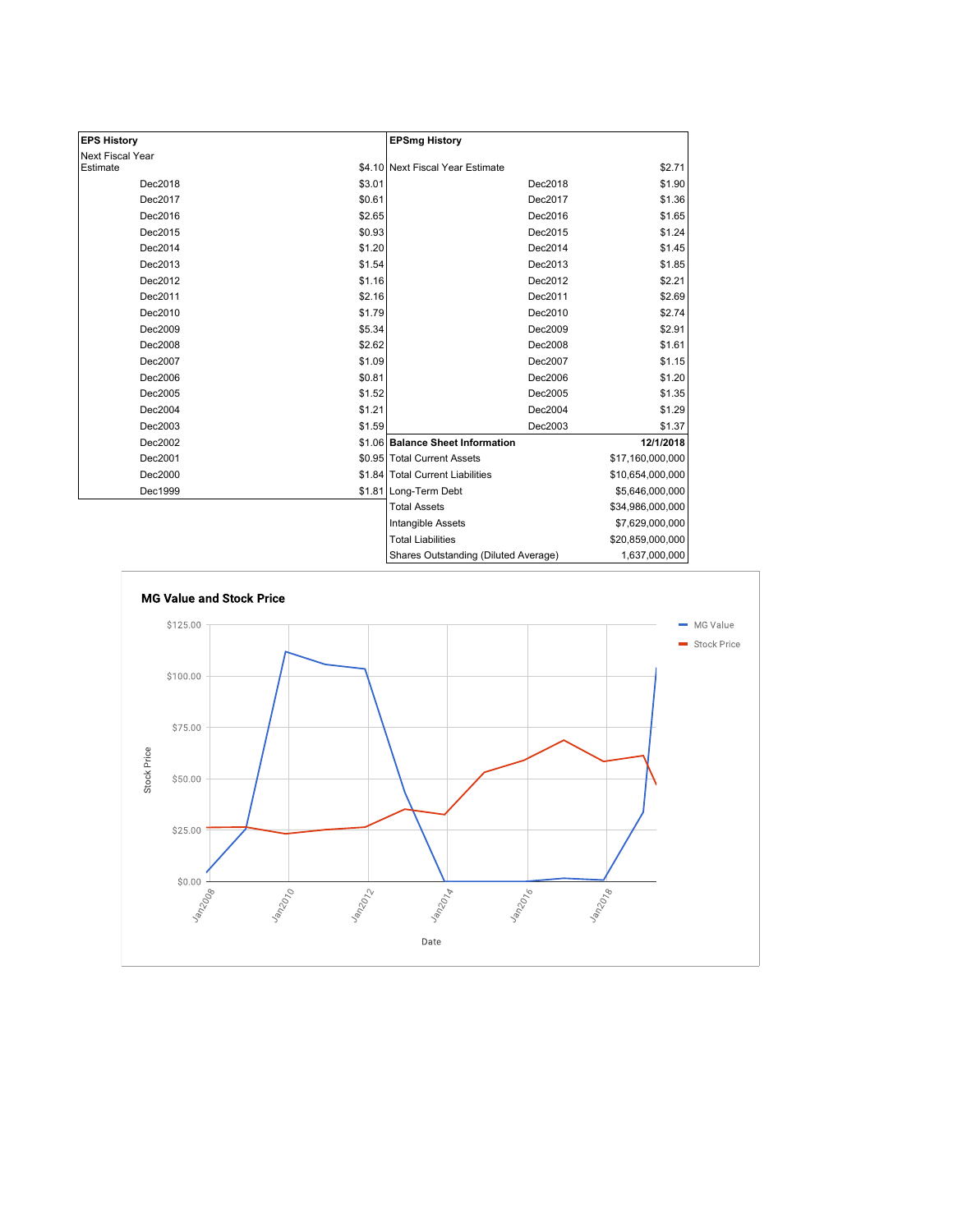| <b>EPS History</b> |        | <b>EPSmg History</b>                 |                  |
|--------------------|--------|--------------------------------------|------------------|
| Next Fiscal Year   |        |                                      |                  |
| Estimate           |        | \$4.10 Next Fiscal Year Estimate     | \$2.71           |
| Dec2018            | \$3.01 | Dec2018                              | \$1.90           |
| Dec2017            | \$0.61 | Dec2017                              | \$1.36           |
| Dec2016            | \$2.65 | Dec2016                              | \$1.65           |
| Dec2015            | \$0.93 | Dec2015                              | \$1.24           |
| Dec2014            | \$1.20 | Dec2014                              | \$1.45           |
| Dec2013            | \$1.54 | Dec2013                              | \$1.85           |
| Dec2012            | \$1.16 | Dec2012                              | \$2.21           |
| Dec2011            | \$2.16 | Dec2011                              | \$2.69           |
| Dec2010            | \$1.79 | Dec2010                              | \$2.74           |
| Dec2009            | \$5.34 | Dec2009                              | \$2.91           |
| Dec2008            | \$2.62 | Dec2008                              | \$1.61           |
| Dec2007            | \$1.09 | Dec2007                              | \$1.15           |
| Dec2006            | \$0.81 | Dec2006                              | \$1.20           |
| Dec2005            | \$1.52 | Dec2005                              | \$1.35           |
| Dec2004            | \$1.21 | Dec2004                              | \$1.29           |
| Dec2003            | \$1.59 | Dec2003                              | \$1.37           |
| Dec2002            |        | \$1.06 Balance Sheet Information     | 12/1/2018        |
| Dec2001            |        | \$0.95 Total Current Assets          | \$17,160,000,000 |
| Dec2000            |        | \$1.84 Total Current Liabilities     | \$10,654,000,000 |
| Dec1999            |        | \$1.81 Long-Term Debt                | \$5,646,000,000  |
|                    |        | <b>Total Assets</b>                  | \$34,986,000,000 |
|                    |        | Intangible Assets                    | \$7,629,000,000  |
|                    |        | <b>Total Liabilities</b>             | \$20,859,000,000 |
|                    |        | Shares Outstanding (Diluted Average) | 1,637,000,000    |